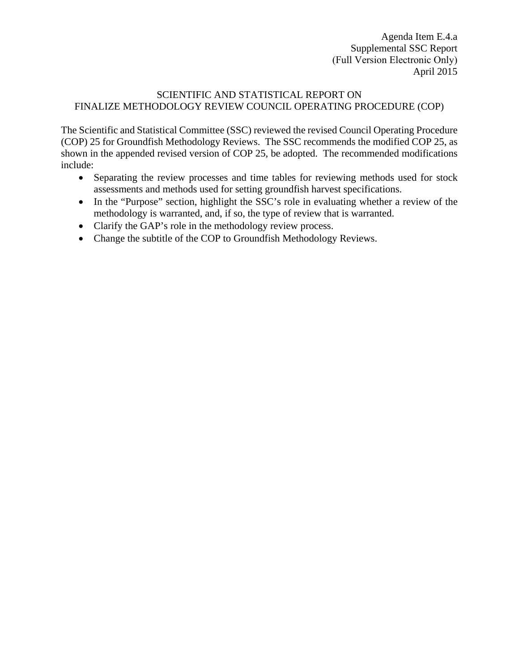Agenda Item E.4.a Supplemental SSC Report (Full Version Electronic Only) April 2015

#### SCIENTIFIC AND STATISTICAL REPORT ON FINALIZE METHODOLOGY REVIEW COUNCIL OPERATING PROCEDURE (COP)

The Scientific and Statistical Committee (SSC) reviewed the revised Council Operating Procedure (COP) 25 for Groundfish Methodology Reviews. The SSC recommends the modified COP 25, as shown in the appended revised version of COP 25, be adopted. The recommended modifications include:

- Separating the review processes and time tables for reviewing methods used for stock assessments and methods used for setting groundfish harvest specifications.
- In the "Purpose" section, highlight the SSC's role in evaluating whether a review of the methodology is warranted, and, if so, the type of review that is warranted.
- Clarify the GAP's role in the methodology review process.
- Change the subtitle of the COP to Groundfish Methodology Reviews.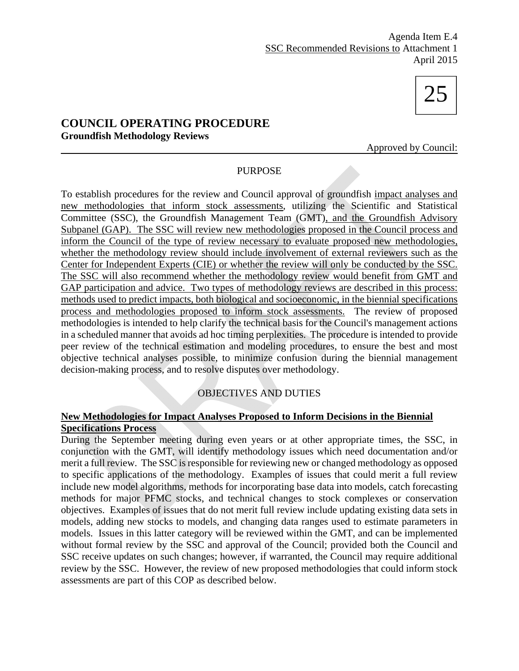# 25

## **COUNCIL OPERATING PROCEDURE Groundfish Methodology Reviews**

Approved by Council:

#### PURPOSE

To establish procedures for the review and Council approval of groundfish impact analyses and new methodologies that inform stock assessments, utilizing the Scientific and Statistical Committee (SSC), the Groundfish Management Team (GMT), and the Groundfish Advisory Subpanel (GAP). The SSC will review new methodologies proposed in the Council process and inform the Council of the type of review necessary to evaluate proposed new methodologies, whether the methodology review should include involvement of external reviewers such as the Center for Independent Experts (CIE) or whether the review will only be conducted by the SSC. The SSC will also recommend whether the methodology review would benefit from GMT and GAP participation and advice. Two types of methodology reviews are described in this process: methods used to predict impacts, both biological and socioeconomic, in the biennial specifications process and methodologies proposed to inform stock assessments. The review of proposed methodologies is intended to help clarify the technical basis for the Council's management actions in a scheduled manner that avoids ad hoc timing perplexities. The procedure is intended to provide peer review of the technical estimation and modeling procedures, to ensure the best and most objective technical analyses possible, to minimize confusion during the biennial management decision-making process, and to resolve disputes over methodology.

### OBJECTIVES AND DUTIES

## **New Methodologies for Impact Analyses Proposed to Inform Decisions in the Biennial Specifications Process**

During the September meeting during even years or at other appropriate times, the SSC, in conjunction with the GMT, will identify methodology issues which need documentation and/or merit a full review. The SSC is responsible for reviewing new or changed methodology as opposed to specific applications of the methodology. Examples of issues that could merit a full review include new model algorithms, methods for incorporating base data into models, catch forecasting methods for major PFMC stocks, and technical changes to stock complexes or conservation objectives. Examples of issues that do not merit full review include updating existing data sets in models, adding new stocks to models, and changing data ranges used to estimate parameters in models. Issues in this latter category will be reviewed within the GMT, and can be implemented without formal review by the SSC and approval of the Council; provided both the Council and SSC receive updates on such changes; however, if warranted, the Council may require additional review by the SSC. However, the review of new proposed methodologies that could inform stock assessments are part of this COP as described below.